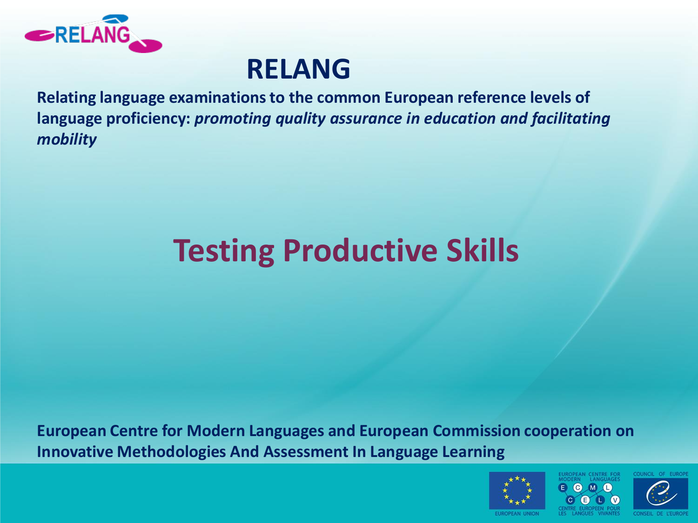

#### **RELANG**

**Relating language examinations to the common European reference levels of language proficiency:** *promoting quality assurance in education and facilitating mobility*

# **Testing Productive Skills**

**European Centre for Modern Languages and European Commission cooperation on Innovative Methodologies And Assessment In Language Learning** 



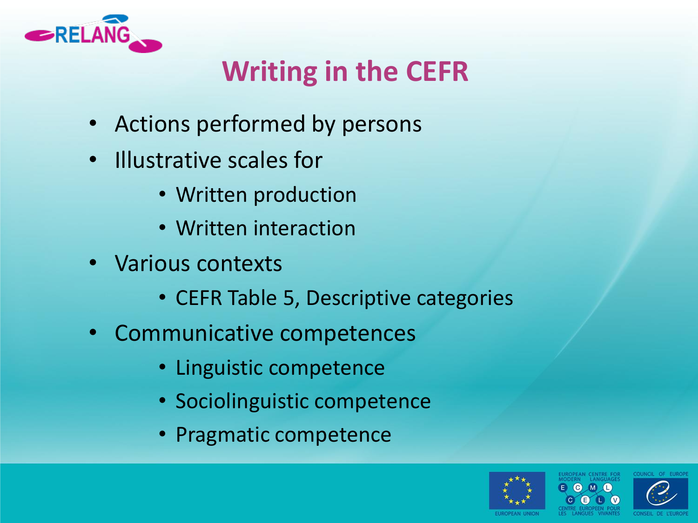

## **Writing in the CEFR**

- Actions performed by persons
- Illustrative scales for
	- Written production
	- Written interaction
- Various contexts
	- CEFR Table 5, Descriptive categories
- Communicative competences
	- Linguistic competence
	- Sociolinguistic competence
	- Pragmatic competence



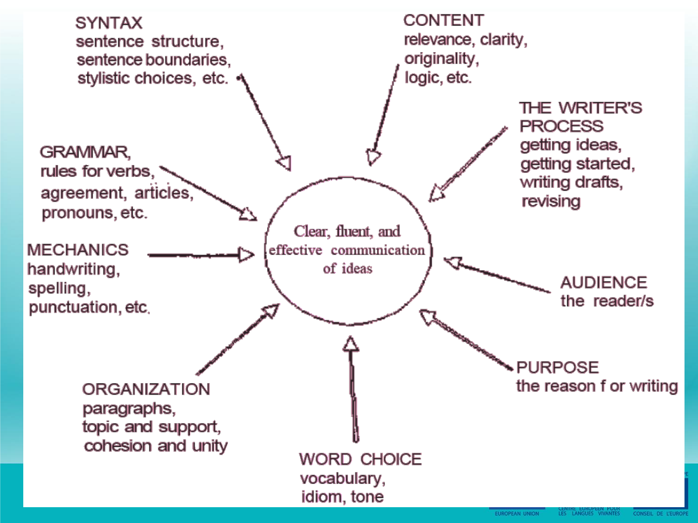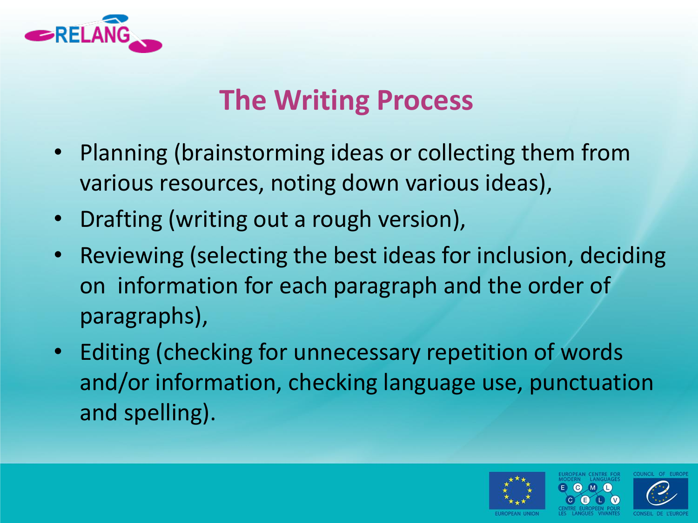

### **The Writing Process**

- Planning (brainstorming ideas or collecting them from various resources, noting down various ideas),
- Drafting (writing out a rough version),
- Reviewing (selecting the best ideas for inclusion, deciding on information for each paragraph and the order of paragraphs),
- Editing (checking for unnecessary repetition of words and/or information, checking language use, punctuation and spelling).

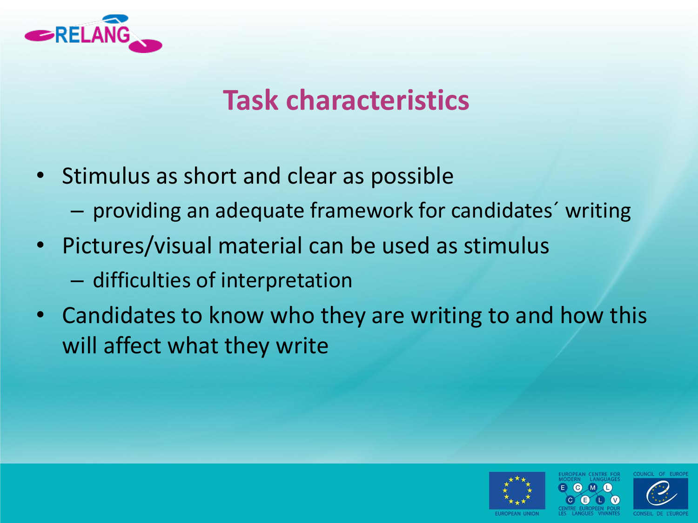

#### **Task characteristics**

- Stimulus as short and clear as possible
	- providing an adequate framework for candidates´ writing
- Pictures/visual material can be used as stimulus
	- difficulties of interpretation
- Candidates to know who they are writing to and how this will affect what they write



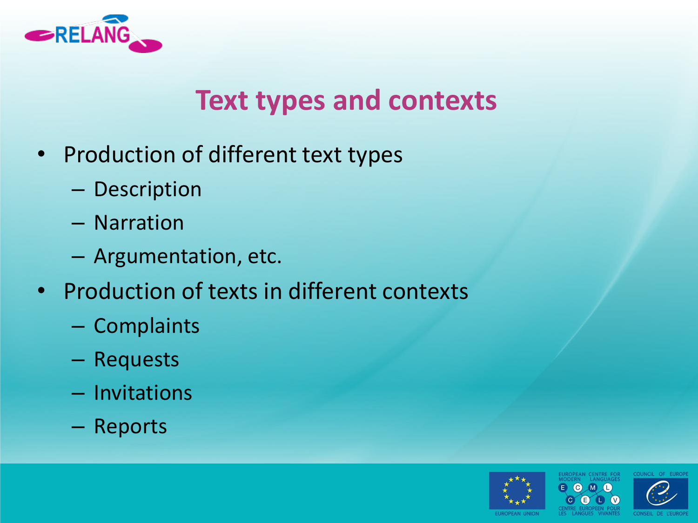

#### **Text types and contexts**

- Production of different text types
	- Description
	- Narration
	- Argumentation, etc.
- Production of texts in different contexts
	- Complaints
	- Requests
	- Invitations
	- Reports





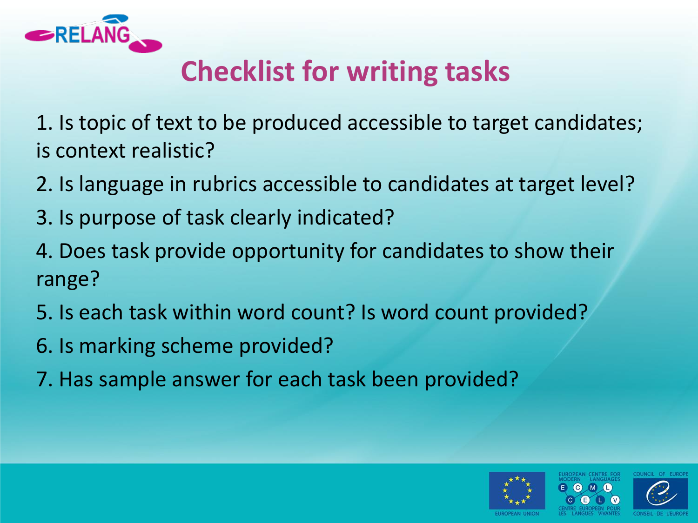

## **Checklist for writing tasks**

1. Is topic of text to be produced accessible to target candidates; is context realistic?

- 2. Is language in rubrics accessible to candidates at target level?
- 3. Is purpose of task clearly indicated?
- 4. Does task provide opportunity for candidates to show their range?
- 5. Is each task within word count? Is word count provided?
- 6. Is marking scheme provided?
- 7. Has sample answer for each task been provided?



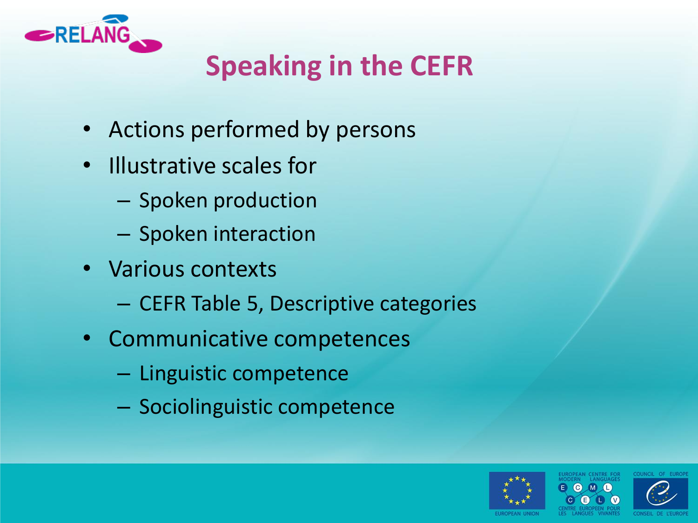

## **Speaking in the CEFR**

- Actions performed by persons
- Illustrative scales for
	- Spoken production
	- Spoken interaction
- Various contexts
	- CEFR Table 5, Descriptive categories
- Communicative competences
	- Linguistic competence
	- Sociolinguistic competence





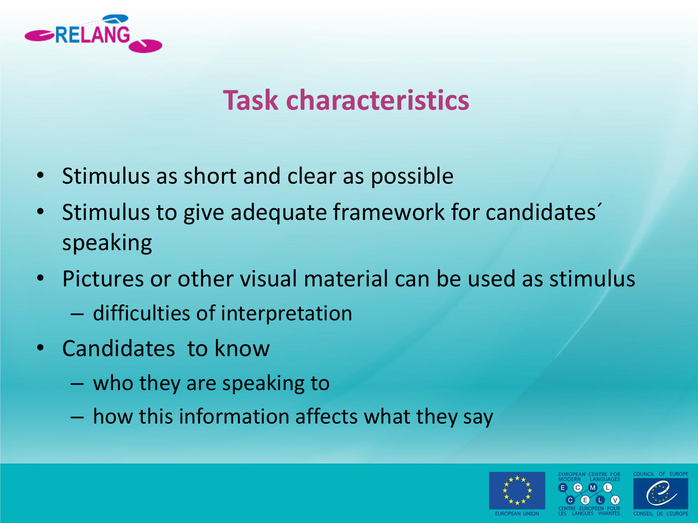

#### **Task characteristics**

- Stimulus as short and clear as possible
- Stimulus to give adequate framework for candidates' speaking
- Pictures or other visual material can be used as stimulus
	- difficulties of interpretation
- Candidates to know
	- who they are speaking to
	- how this information affects what they say



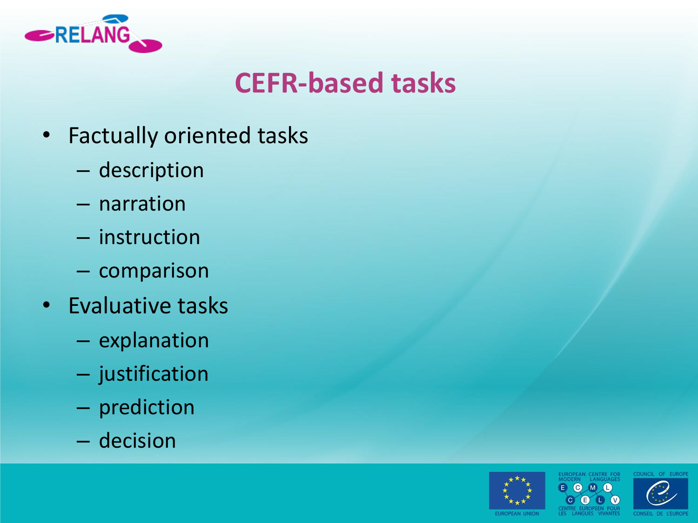

#### **CEFR-based tasks**

- Factually oriented tasks
	- description
	- narration
	- instruction
	- comparison
- Evaluative tasks
	- explanation
	- justification
	- prediction
	- decision





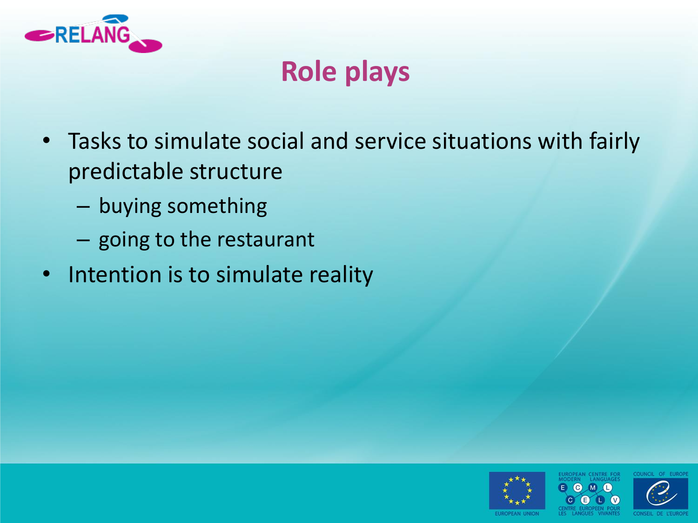

### **Role plays**

- Tasks to simulate social and service situations with fairly predictable structure
	- buying something
	- going to the restaurant
- Intention is to simulate reality